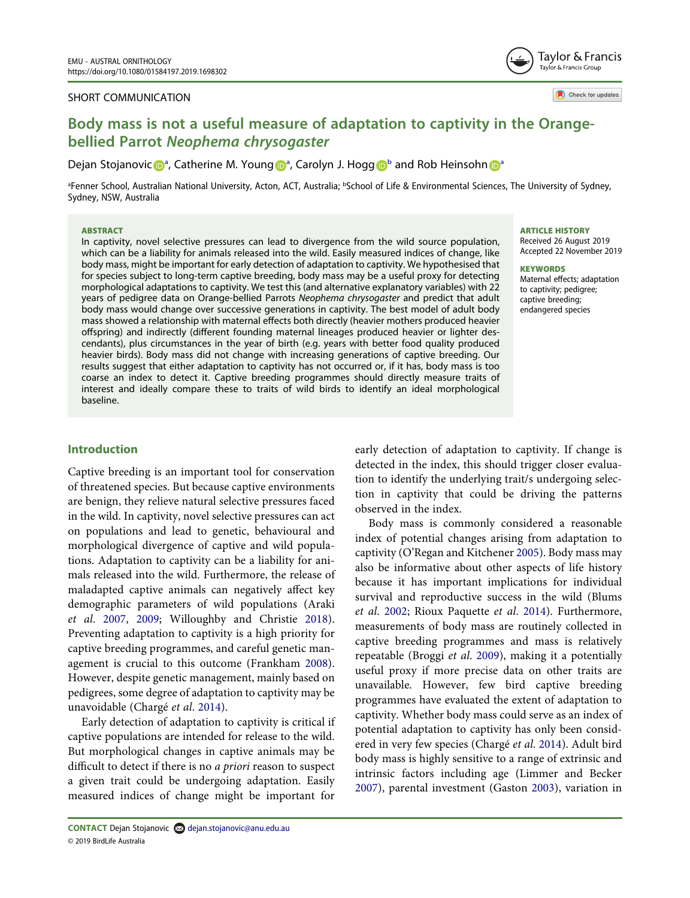#### SHORT COMMUNICATION

Tavlor & Francis Taylor & Francis Group

Check for updates

# Body mass is not a useful measure of adaptation to captivity in the Orangebellied Parrot Neophema chrysogaster

Dejan Stojanovi[c](http://orcid.org/0000-0002-1176-3244) D<sup>[a](#page-0-0)</sup>, Catherine M. Youn[g](http://orcid.org/0000-0002-6328-398X) D<sup>a</sup>, Carolyn J. Hogg D<sup>[b](#page-0-0)</sup> a[n](http://orcid.org/0000-0002-2514-9448)d Rob Heinsohn D<sup>a</sup>

<span id="page-0-0"></span><sup>a</sup>Fenner School, Australian National University, Acton, ACT, Australia; <sup>b</sup>School of Life & Environmental Sciences, The University of Sydney, Sydney, NSW, Australia

#### ABSTRACT

In captivity, novel selective pressures can lead to divergence from the wild source population, which can be a liability for animals released into the wild. Easily measured indices of change, like body mass, might be important for early detection of adaptation to captivity. We hypothesised that for species subject to long-term captive breeding, body mass may be a useful proxy for detecting morphological adaptations to captivity. We test this (and alternative explanatory variables) with 22 years of pedigree data on Orange-bellied Parrots Neophema chrysogaster and predict that adult body mass would change over successive generations in captivity. The best model of adult body mass showed a relationship with maternal effects both directly (heavier mothers produced heavier offspring) and indirectly (different founding maternal lineages produced heavier or lighter descendants), plus circumstances in the year of birth (e.g. years with better food quality produced heavier birds). Body mass did not change with increasing generations of captive breeding. Our results suggest that either adaptation to captivity has not occurred or, if it has, body mass is too coarse an index to detect it. Captive breeding programmes should directly measure traits of interest and ideally compare these to traits of wild birds to identify an ideal morphological baseline.

#### ARTICLE HISTORY

Received 26 August 2019 Accepted 22 November 2019

#### **KEYWORDS**

Maternal effects; adaptation to captivity; pedigree; captive breeding; endangered species

# Introduction

Captive breeding is an important tool for conservation of threatened species. But because captive environments are benign, they relieve natural selective pressures faced in the wild. In captivity, novel selective pressures can act on populations and lead to genetic, behavioural and morphological divergence of captive and wild populations. Adaptation to captivity can be a liability for animals released into the wild. Furthermore, the release of maladapted captive animals can negatively affect key demographic parameters of wild populations (Araki et al. [2007](#page-4-0), [2009;](#page-4-1) Willoughby and Christie [2018\)](#page-5-0). Preventing adaptation to captivity is a high priority for captive breeding programmes, and careful genetic management is crucial to this outcome (Frankham [2008\)](#page-4-2). However, despite genetic management, mainly based on pedigrees, some degree of adaptation to captivity may be unavoidable (Chargé et al. [2014](#page-4-3)).

<span id="page-0-5"></span><span id="page-0-1"></span>Early detection of adaptation to captivity is critical if captive populations are intended for release to the wild. But morphological changes in captive animals may be difficult to detect if there is no a priori reason to suspect a given trait could be undergoing adaptation. Easily measured indices of change might be important for

early detection of adaptation to captivity. If change is detected in the index, this should trigger closer evaluation to identify the underlying trait/s undergoing selection in captivity that could be driving the patterns observed in the index.

<span id="page-0-8"></span><span id="page-0-7"></span><span id="page-0-6"></span><span id="page-0-4"></span><span id="page-0-3"></span><span id="page-0-2"></span>Body mass is commonly considered a reasonable index of potential changes arising from adaptation to captivity (O'Regan and Kitchener [2005](#page-4-4)). Body mass may also be informative about other aspects of life history because it has important implications for individual survival and reproductive success in the wild (Blums et al. [2002;](#page-4-5) Rioux Paquette et al. [2014](#page-5-1)). Furthermore, measurements of body mass are routinely collected in captive breeding programmes and mass is relatively repeatable (Broggi et al. [2009](#page-4-6)), making it a potentially useful proxy if more precise data on other traits are unavailable. However, few bird captive breeding programmes have evaluated the extent of adaptation to captivity. Whether body mass could serve as an index of potential adaptation to captivity has only been considered in very few species (Chargé et al. [2014](#page-4-3)). Adult bird body mass is highly sensitive to a range of extrinsic and intrinsic factors including age (Limmer and Becker [2007\)](#page-4-7), parental investment (Gaston [2003\)](#page-4-8), variation in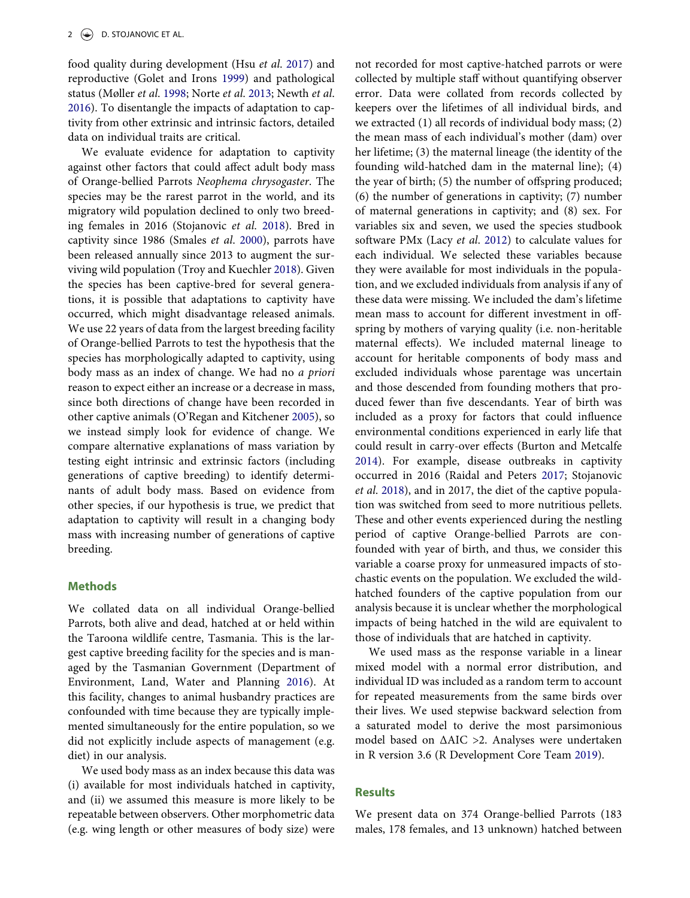<span id="page-1-5"></span><span id="page-1-3"></span><span id="page-1-2"></span>food quality during development (Hsu et al. [2017\)](#page-4-9) and reproductive (Golet and Irons [1999](#page-4-10)) and pathological status (Møller et al. [1998](#page-4-11); Norte et al. [2013;](#page-4-12) Newth et al. [2016](#page-4-13)). To disentangle the impacts of adaptation to captivity from other extrinsic and intrinsic factors, detailed data on individual traits are critical.

<span id="page-1-10"></span><span id="page-1-8"></span>We evaluate evidence for adaptation to captivity against other factors that could affect adult body mass of Orange-bellied Parrots Neophema chrysogaster. The species may be the rarest parrot in the world, and its migratory wild population declined to only two breeding females in 2016 (Stojanovic et al. [2018\)](#page-5-2). Bred in captivity since 1986 (Smales et al. [2000\)](#page-5-3), parrots have been released annually since 2013 to augment the surviving wild population (Troy and Kuechler [2018](#page-5-4)). Given the species has been captive-bred for several generations, it is possible that adaptations to captivity have occurred, which might disadvantage released animals. We use 22 years of data from the largest breeding facility of Orange-bellied Parrots to test the hypothesis that the species has morphologically adapted to captivity, using body mass as an index of change. We had no a priori reason to expect either an increase or a decrease in mass, since both directions of change have been recorded in other captive animals (O'Regan and Kitchener [2005](#page-4-4)), so we instead simply look for evidence of change. We compare alternative explanations of mass variation by testing eight intrinsic and extrinsic factors (including generations of captive breeding) to identify determinants of adult body mass. Based on evidence from other species, if our hypothesis is true, we predict that adaptation to captivity will result in a changing body mass with increasing number of generations of captive breeding.

# **Methods**

<span id="page-1-1"></span>We collated data on all individual Orange-bellied Parrots, both alive and dead, hatched at or held within the Taroona wildlife centre, Tasmania. This is the largest captive breeding facility for the species and is managed by the Tasmanian Government (Department of Environment, Land, Water and Planning [2016](#page-4-14)). At this facility, changes to animal husbandry practices are confounded with time because they are typically implemented simultaneously for the entire population, so we did not explicitly include aspects of management (e.g. diet) in our analysis.

We used body mass as an index because this data was (i) available for most individuals hatched in captivity, and (ii) we assumed this measure is more likely to be repeatable between observers. Other morphometric data (e.g. wing length or other measures of body size) were <span id="page-1-4"></span>not recorded for most captive-hatched parrots or were collected by multiple staff without quantifying observer error. Data were collated from records collected by keepers over the lifetimes of all individual birds, and we extracted (1) all records of individual body mass; (2) the mean mass of each individual's mother (dam) over her lifetime; (3) the maternal lineage (the identity of the founding wild-hatched dam in the maternal line); (4) the year of birth; (5) the number of offspring produced; (6) the number of generations in captivity; (7) number of maternal generations in captivity; and (8) sex. For variables six and seven, we used the species studbook software PMx (Lacy et al. [2012](#page-4-15)) to calculate values for each individual. We selected these variables because they were available for most individuals in the population, and we excluded individuals from analysis if any of these data were missing. We included the dam's lifetime mean mass to account for different investment in offspring by mothers of varying quality (i.e. non-heritable maternal effects). We included maternal lineage to account for heritable components of body mass and excluded individuals whose parentage was uncertain and those descended from founding mothers that produced fewer than five descendants. Year of birth was included as a proxy for factors that could influence environmental conditions experienced in early life that could result in carry-over effects (Burton and Metcalfe [2014\)](#page-4-16). For example, disease outbreaks in captivity occurred in 2016 (Raidal and Peters [2017;](#page-5-5) Stojanovic et al. [2018](#page-5-2)), and in 2017, the diet of the captive population was switched from seed to more nutritious pellets. These and other events experienced during the nestling period of captive Orange-bellied Parrots are confounded with year of birth, and thus, we consider this variable a coarse proxy for unmeasured impacts of stochastic events on the population. We excluded the wildhatched founders of the captive population from our analysis because it is unclear whether the morphological impacts of being hatched in the wild are equivalent to those of individuals that are hatched in captivity.

<span id="page-1-9"></span><span id="page-1-7"></span><span id="page-1-0"></span>We used mass as the response variable in a linear mixed model with a normal error distribution, and individual ID was included as a random term to account for repeated measurements from the same birds over their lives. We used stepwise backward selection from a saturated model to derive the most parsimonious model based on ΔAIC >2. Analyses were undertaken in R version 3.6 (R Development Core Team [2019\)](#page-5-6).

## <span id="page-1-6"></span>Results

We present data on 374 Orange-bellied Parrots (183 males, 178 females, and 13 unknown) hatched between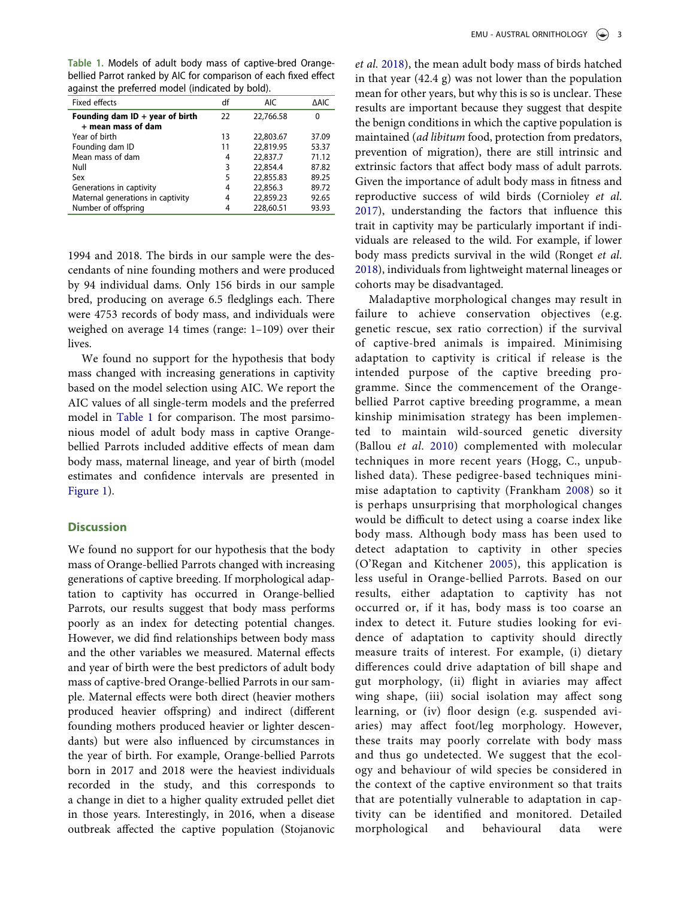<span id="page-2-0"></span>Table 1. Models of adult body mass of captive-bred Orangebellied Parrot ranked by AIC for comparison of each fixed effect against the preferred model (indicated by bold).

| <b>Fixed effects</b>                                    | df | <b>AIC</b> | <b>AAIC</b> |
|---------------------------------------------------------|----|------------|-------------|
| Founding dam $ID + year$ of birth<br>+ mean mass of dam | 22 | 22.766.58  | 0           |
| Year of birth                                           | 13 | 22,803.67  | 37.09       |
| Founding dam ID                                         | 11 | 22.819.95  | 53.37       |
| Mean mass of dam                                        | 4  | 22,837.7   | 71.12       |
| Null                                                    | 3  | 22,854.4   | 87.82       |
| Sex                                                     | 5  | 22,855.83  | 89.25       |
| Generations in captivity                                | 4  | 22,856.3   | 89.72       |
| Maternal generations in captivity                       | 4  | 22,859.23  | 92.65       |
| Number of offspring                                     | 4  | 228,60.51  | 93.93       |

1994 and 2018. The birds in our sample were the descendants of nine founding mothers and were produced by 94 individual dams. Only 156 birds in our sample bred, producing on average 6.5 fledglings each. There were 4753 records of body mass, and individuals were weighed on average 14 times (range: 1–109) over their lives.

We found no support for the hypothesis that body mass changed with increasing generations in captivity based on the model selection using AIC. We report the AIC values of all single-term models and the preferred model in [Table 1](#page-2-0) for comparison. The most parsimonious model of adult body mass in captive Orangebellied Parrots included additive effects of mean dam body mass, maternal lineage, and year of birth (model estimates and confidence intervals are presented in [Figure 1](#page-3-0)).

## **Discussion**

We found no support for our hypothesis that the body mass of Orange-bellied Parrots changed with increasing generations of captive breeding. If morphological adaptation to captivity has occurred in Orange-bellied Parrots, our results suggest that body mass performs poorly as an index for detecting potential changes. However, we did find relationships between body mass and the other variables we measured. Maternal effects and year of birth were the best predictors of adult body mass of captive-bred Orange-bellied Parrots in our sample. Maternal effects were both direct (heavier mothers produced heavier offspring) and indirect (different founding mothers produced heavier or lighter descendants) but were also influenced by circumstances in the year of birth. For example, Orange-bellied Parrots born in 2017 and 2018 were the heaviest individuals recorded in the study, and this corresponds to a change in diet to a higher quality extruded pellet diet in those years. Interestingly, in 2016, when a disease outbreak affected the captive population (Stojanovic et al. [2018](#page-5-2)), the mean adult body mass of birds hatched in that year (42.4 g) was not lower than the population mean for other years, but why this is so is unclear. These results are important because they suggest that despite the benign conditions in which the captive population is maintained (ad libitum food, protection from predators, prevention of migration), there are still intrinsic and extrinsic factors that affect body mass of adult parrots. Given the importance of adult body mass in fitness and reproductive success of wild birds (Cornioley et al. [2017\)](#page-4-17), understanding the factors that influence this trait in captivity may be particularly important if individuals are released to the wild. For example, if lower body mass predicts survival in the wild (Ronget et al. [2018\)](#page-5-7), individuals from lightweight maternal lineages or cohorts may be disadvantaged.

<span id="page-2-3"></span><span id="page-2-2"></span><span id="page-2-1"></span>Maladaptive morphological changes may result in failure to achieve conservation objectives (e.g. genetic rescue, sex ratio correction) if the survival of captive-bred animals is impaired. Minimising adaptation to captivity is critical if release is the intended purpose of the captive breeding programme. Since the commencement of the Orangebellied Parrot captive breeding programme, a mean kinship minimisation strategy has been implemented to maintain wild-sourced genetic diversity (Ballou et al. [2010](#page-4-18)) complemented with molecular techniques in more recent years (Hogg, C., unpublished data). These pedigree-based techniques minimise adaptation to captivity (Frankham [2008](#page-4-2)) so it is perhaps unsurprising that morphological changes would be difficult to detect using a coarse index like body mass. Although body mass has been used to detect adaptation to captivity in other species (O'Regan and Kitchener [2005](#page-4-4)), this application is less useful in Orange-bellied Parrots. Based on our results, either adaptation to captivity has not occurred or, if it has, body mass is too coarse an index to detect it. Future studies looking for evidence of adaptation to captivity should directly measure traits of interest. For example, (i) dietary differences could drive adaptation of bill shape and gut morphology, (ii) flight in aviaries may affect wing shape, (iii) social isolation may affect song learning, or (iv) floor design (e.g. suspended aviaries) may affect foot/leg morphology. However, these traits may poorly correlate with body mass and thus go undetected. We suggest that the ecology and behaviour of wild species be considered in the context of the captive environment so that traits that are potentially vulnerable to adaptation in captivity can be identified and monitored. Detailed morphological and behavioural data were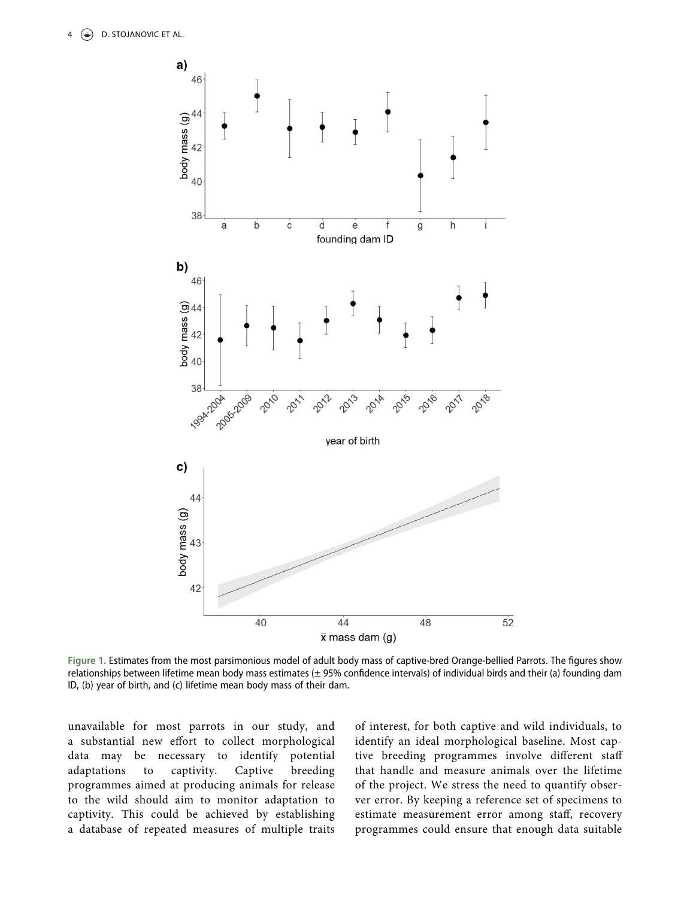<span id="page-3-0"></span>

Figure 1. Estimates from the most parsimonious model of adult body mass of captive-bred Orange-bellied Parrots. The figures show relationships between lifetime mean body mass estimates (± 95% confidence intervals) of individual birds and their (a) founding dam ID, (b) year of birth, and (c) lifetime mean body mass of their dam.

unavailable for most parrots in our study, and a substantial new effort to collect morphological data may be necessary to identify potential adaptations to captivity. Captive breeding programmes aimed at producing animals for release to the wild should aim to monitor adaptation to captivity. This could be achieved by establishing a database of repeated measures of multiple traits of interest, for both captive and wild individuals, to identify an ideal morphological baseline. Most captive breeding programmes involve different staff that handle and measure animals over the lifetime of the project. We stress the need to quantify observer error. By keeping a reference set of specimens to estimate measurement error among staff, recovery programmes could ensure that enough data suitable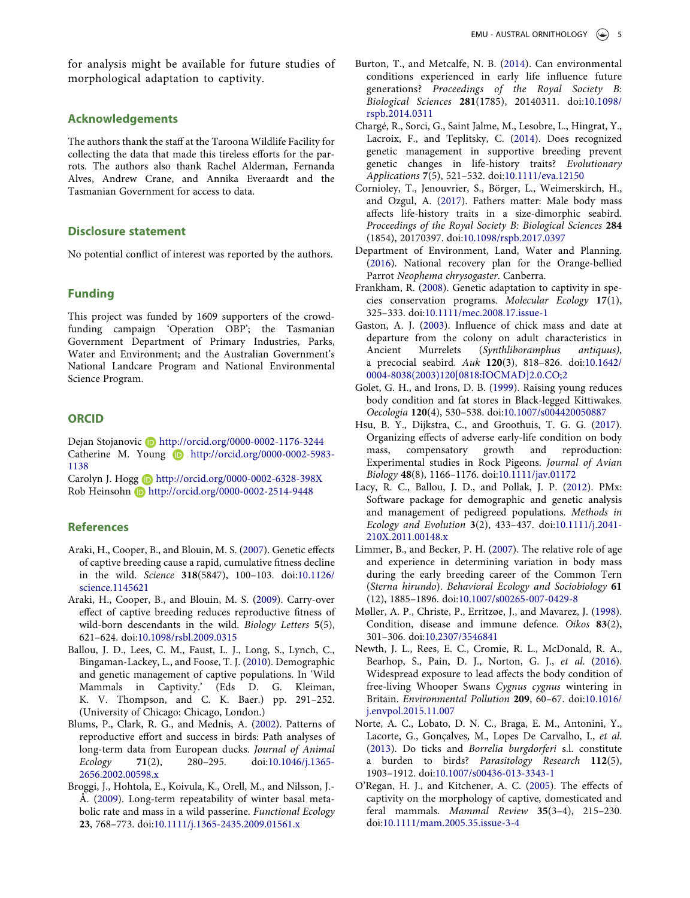for analysis might be available for future studies of morphological adaptation to captivity.

#### Acknowledgements

The authors thank the staff at the Taroona Wildlife Facility for collecting the data that made this tireless efforts for the parrots. The authors also thank Rachel Alderman, Fernanda Alves, Andrew Crane, and Annika Everaardt and the Tasmanian Government for access to data.

# Disclosure statement

No potential conflict of interest was reported by the authors.

# Funding

This project was funded by 1609 supporters of the crowdfunding campaign 'Operation OBP'; the Tasmanian Government Department of Primary Industries, Parks, Water and Environment; and the Australian Government's National Landcare Program and National Environmental Science Program.

## **ORCID**

Dejan Stojanovic Dhttp://orcid.org/0000-0002-1176-3244 Catherine M. Young **b** http://orcid.org/0000-0002-5983-1138

Carolyn J. Hogg **b** http://orcid.org/0000-0002-6328-398X Rob Heinsohn **b** http://orcid.org/0000-0002-2514-9448

## **References**

- <span id="page-4-0"></span>Araki, H., Cooper, B., and Blouin, M. S. ([2007\)](#page-0-1). Genetic effects of captive breeding cause a rapid, cumulative fitness decline in the wild. Science 318(5847), 100–103. doi:[10.1126/](https://doi.org/10.1126/science.1145621) [science.1145621](https://doi.org/10.1126/science.1145621)
- <span id="page-4-1"></span>Araki, H., Cooper, B., and Blouin, M. S. [\(2009\)](#page-0-1). Carry-over effect of captive breeding reduces reproductive fitness of wild-born descendants in the wild. Biology Letters 5(5), 621–624. doi:[10.1098/rsbl.2009.0315](https://doi.org/10.1098/rsbl.2009.0315)
- <span id="page-4-18"></span>Ballou, J. D., Lees, C. M., Faust, L. J., Long, S., Lynch, C., Bingaman-Lackey, L., and Foose, T. J. ([2010\)](#page-2-1). Demographic and genetic management of captive populations. In 'Wild Mammals in Captivity.' (Eds D. G. Kleiman, K. V. Thompson, and C. K. Baer.) pp. 291–252. (University of Chicago: Chicago, London.)
- <span id="page-4-5"></span>Blums, P., Clark, R. G., and Mednis, A. [\(2002\)](#page-0-2). Patterns of reproductive effort and success in birds: Path analyses of long-term data from European ducks. Journal of Animal Ecology 71(2), 280–295. doi:[10.1046/j.1365-](https://doi.org/10.1046/j.1365-2656.2002.00598.x) [2656.2002.00598.x](https://doi.org/10.1046/j.1365-2656.2002.00598.x)
- <span id="page-4-6"></span>Broggi, J., Hohtola, E., Koivula, K., Orell, M., and Nilsson, J.- Å. ([2009](#page-0-3)). Long-term repeatability of winter basal metabolic rate and mass in a wild passerine. Functional Ecology 23, 768–773. doi:[10.1111/j.1365-2435.2009.01561.x](https://doi.org/10.1111/j.1365-2435.2009.01561.x)
- <span id="page-4-16"></span>Burton, T., and Metcalfe, N. B. [\(2014\)](#page-1-0). Can environmental conditions experienced in early life influence future generations? Proceedings of the Royal Society B: Biological Sciences 281(1785), 20140311. doi:[10.1098/](https://doi.org/10.1098/rspb.2014.0311) [rspb.2014.0311](https://doi.org/10.1098/rspb.2014.0311)
- <span id="page-4-3"></span>Chargé, R., Sorci, G., Saint Jalme, M., Lesobre, L., Hingrat, Y., Lacroix, F., and Teplitsky, C. [\(2014](#page-0-4)). Does recognized genetic management in supportive breeding prevent genetic changes in life-history traits? Evolutionary Applications 7(5), 521–532. doi:[10.1111/eva.12150](https://doi.org/10.1111/eva.12150)
- <span id="page-4-17"></span>Cornioley, T., Jenouvrier, S., Börger, L., Weimerskirch, H., and Ozgul, A. [\(2017\)](#page-2-2). Fathers matter: Male body mass affects life-history traits in a size-dimorphic seabird. Proceedings of the Royal Society B: Biological Sciences 284 (1854), 20170397. doi:[10.1098/rspb.2017.0397](https://doi.org/10.1098/rspb.2017.0397)
- <span id="page-4-14"></span>Department of Environment, Land, Water and Planning. [\(2016](#page-1-1)). National recovery plan for the Orange-bellied Parrot Neophema chrysogaster. Canberra.
- <span id="page-4-2"></span>Frankham, R. ([2008](#page-0-5)). Genetic adaptation to captivity in species conservation programs. Molecular Ecology 17(1), 325–333. doi:[10.1111/mec.2008.17.issue-1](https://doi.org/10.1111/mec.2008.17.issue-1)
- <span id="page-4-8"></span>Gaston, A. J. [\(2003](#page-0-6)). Influence of chick mass and date at departure from the colony on adult characteristics in Ancient Murrelets (Synthliboramphus antiquus), a precocial seabird. Auk 120(3), 818–826. doi:[10.1642/](https://doi.org/10.1642/0004-8038(2003)120%5B0818:IOCMAD%5D2.0.CO;2) [0004-8038\(2003\)120\[0818:IOCMAD\]2.0.CO;2](https://doi.org/10.1642/0004-8038(2003)120%5B0818:IOCMAD%5D2.0.CO;2)
- <span id="page-4-10"></span>Golet, G. H., and Irons, D. B. [\(1999\)](#page-1-2). Raising young reduces body condition and fat stores in Black-legged Kittiwakes. Oecologia 120(4), 530–538. doi:[10.1007/s004420050887](https://doi.org/10.1007/s004420050887)
- <span id="page-4-9"></span>Hsu, B. Y., Dijkstra, C., and Groothuis, T. G. G. ([2017](#page-1-3)). Organizing effects of adverse early-life condition on body mass, compensatory growth and reproduction: Experimental studies in Rock Pigeons. Journal of Avian Biology 48(8), 1166–1176. doi:[10.1111/jav.01172](https://doi.org/10.1111/jav.01172)
- <span id="page-4-15"></span>Lacy, R. C., Ballou, J. D., and Pollak, J. P. [\(2012\)](#page-1-4). PMx: Software package for demographic and genetic analysis and management of pedigreed populations. Methods in Ecology and Evolution 3(2), 433–437. doi:[10.1111/j.2041-](https://doi.org/10.1111/j.2041-210X.2011.00148.x) [210X.2011.00148.x](https://doi.org/10.1111/j.2041-210X.2011.00148.x)
- <span id="page-4-7"></span>Limmer, B., and Becker, P. H. ([2007](#page-0-7)). The relative role of age and experience in determining variation in body mass during the early breeding career of the Common Tern (Sterna hirundo). Behavioral Ecology and Sociobiology 61 (12), 1885–1896. doi:[10.1007/s00265-007-0429-8](https://doi.org/10.1007/s00265-007-0429-8)
- <span id="page-4-11"></span>Møller, A. P., Christe, P., Erritzøe, J., and Mavarez, J. ([1998](#page-1-5)). Condition, disease and immune defence. Oikos 83(2), 301–306. doi:[10.2307/3546841](https://doi.org/10.2307/3546841)
- <span id="page-4-13"></span>Newth, J. L., Rees, E. C., Cromie, R. L., McDonald, R. A., Bearhop, S., Pain, D. J., Norton, G. J., et al. ([2016](#page-1-5)). Widespread exposure to lead affects the body condition of free-living Whooper Swans Cygnus cygnus wintering in Britain. Environmental Pollution 209, 60–67. doi:[10.1016/](https://doi.org/10.1016/j.envpol.2015.11.007) [j.envpol.2015.11.007](https://doi.org/10.1016/j.envpol.2015.11.007)
- <span id="page-4-12"></span>Norte, A. C., Lobato, D. N. C., Braga, E. M., Antonini, Y., Lacorte, G., Gonçalves, M., Lopes De Carvalho, I., et al. [\(2013](#page-1-5)). Do ticks and Borrelia burgdorferi s.l. constitute a burden to birds? Parasitology Research 112(5), 1903–1912. doi:[10.1007/s00436-013-3343-1](https://doi.org/10.1007/s00436-013-3343-1)
- <span id="page-4-4"></span>O'Regan, H. J., and Kitchener, A. C. ([2005\)](#page-0-8). The effects of captivity on the morphology of captive, domesticated and feral mammals. Mammal Review 35(3–4), 215–230. doi:[10.1111/mam.2005.35.issue-3-4](https://doi.org/10.1111/mam.2005.35.issue-3-4)